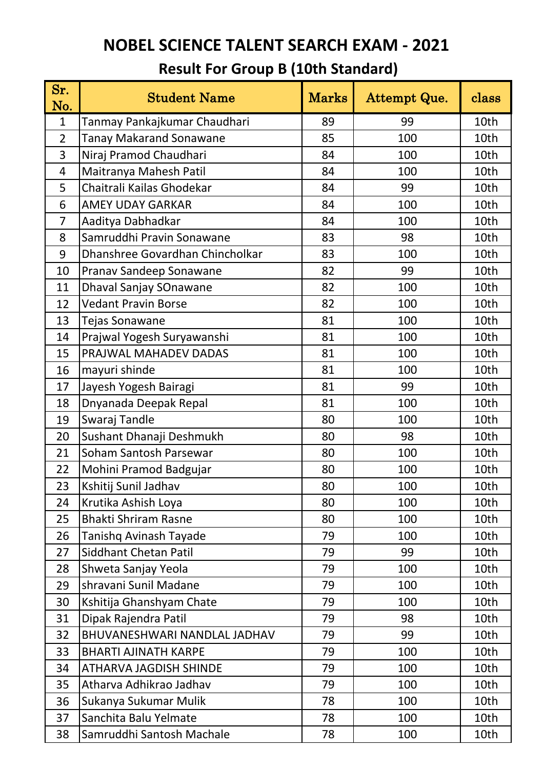| Sr.<br>No.     | <b>Student Name</b>             | <b>Marks</b> | Attempt Que. | class |
|----------------|---------------------------------|--------------|--------------|-------|
| $\mathbf{1}$   | Tanmay Pankajkumar Chaudhari    | 89           | 99           | 10th  |
| $\overline{2}$ | <b>Tanay Makarand Sonawane</b>  | 85           | 100          | 10th  |
| 3              | Niraj Pramod Chaudhari          | 84           | 100          | 10th  |
| 4              | Maitranya Mahesh Patil          | 84           | 100          | 10th  |
| 5              | Chaitrali Kailas Ghodekar       | 84           | 99           | 10th  |
| 6              | <b>AMEY UDAY GARKAR</b>         | 84           | 100          | 10th  |
| $\overline{7}$ | Aaditya Dabhadkar               | 84           | 100          | 10th  |
| 8              | Samruddhi Pravin Sonawane       | 83           | 98           | 10th  |
| 9              | Dhanshree Govardhan Chincholkar | 83           | 100          | 10th  |
| 10             | Pranav Sandeep Sonawane         | 82           | 99           | 10th  |
| 11             | Dhaval Sanjay SOnawane          | 82           | 100          | 10th  |
| 12             | <b>Vedant Pravin Borse</b>      | 82           | 100          | 10th  |
| 13             | Tejas Sonawane                  | 81           | 100          | 10th  |
| 14             | Prajwal Yogesh Suryawanshi      | 81           | 100          | 10th  |
| 15             | PRAJWAL MAHADEV DADAS           | 81           | 100          | 10th  |
| 16             | mayuri shinde                   | 81           | 100          | 10th  |
| 17             | Jayesh Yogesh Bairagi           | 81           | 99           | 10th  |
| 18             | Dnyanada Deepak Repal           | 81           | 100          | 10th  |
| 19             | Swaraj Tandle                   | 80           | 100          | 10th  |
| 20             | Sushant Dhanaji Deshmukh        | 80           | 98           | 10th  |
| 21             | Soham Santosh Parsewar          | 80           | 100          | 10th  |
| 22             | Mohini Pramod Badgujar          | 80           | 100          | 10th  |
| 23             | Kshitij Sunil Jadhav            | 80           | 100          | 10th  |
| 24             | Krutika Ashish Loya             | 80           | 100          | 10th  |
| 25             | <b>Bhakti Shriram Rasne</b>     | 80           | 100          | 10th  |
| 26             | Tanishq Avinash Tayade          | 79           | 100          | 10th  |
| 27             | <b>Siddhant Chetan Patil</b>    | 79           | 99           | 10th  |
| 28             | Shweta Sanjay Yeola             | 79           | 100          | 10th  |
| 29             | shravani Sunil Madane           | 79           | 100          | 10th  |
| 30             | Kshitija Ghanshyam Chate        | 79           | 100          | 10th  |
| 31             | Dipak Rajendra Patil            | 79           | 98           | 10th  |
| 32             | BHUVANESHWARI NANDLAL JADHAV    | 79           | 99           | 10th  |
| 33             | <b>BHARTI AJINATH KARPE</b>     | 79           | 100          | 10th  |
| 34             | <b>ATHARVA JAGDISH SHINDE</b>   | 79           | 100          | 10th  |
| 35             | Atharva Adhikrao Jadhav         | 79           | 100          | 10th  |
| 36             | Sukanya Sukumar Mulik           | 78           | 100          | 10th  |
| 37             | Sanchita Balu Yelmate           | 78           | 100          | 10th  |
| 38             | Samruddhi Santosh Machale       | 78           | 100          | 10th  |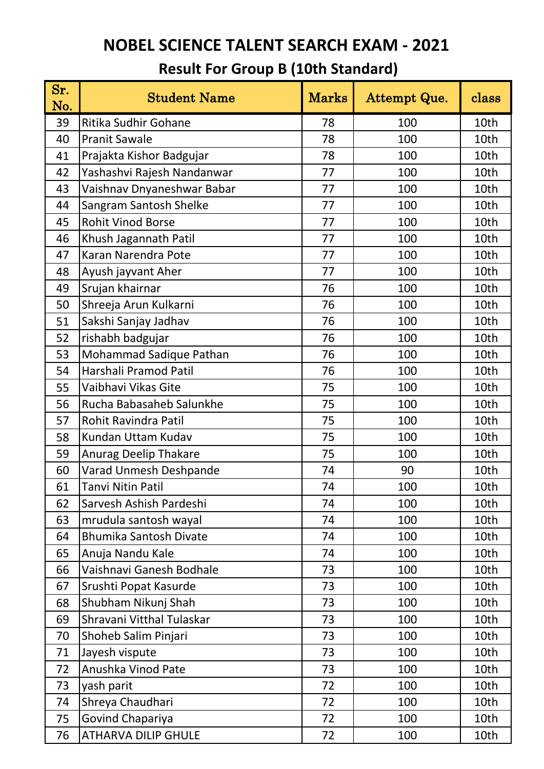| Sr.<br>No. | <b>Student Name</b>           | <b>Marks</b> | Attempt Que. | class |
|------------|-------------------------------|--------------|--------------|-------|
| 39         | Ritika Sudhir Gohane          | 78           | 100          | 10th  |
| 40         | <b>Pranit Sawale</b>          | 78           | 100          | 10th  |
| 41         | Prajakta Kishor Badgujar      | 78           | 100          | 10th  |
| 42         | Yashashvi Rajesh Nandanwar    | 77           | 100          | 10th  |
| 43         | Vaishnav Dnyaneshwar Babar    | 77           | 100          | 10th  |
| 44         | Sangram Santosh Shelke        | 77           | 100          | 10th  |
| 45         | <b>Rohit Vinod Borse</b>      | 77           | 100          | 10th  |
| 46         | Khush Jagannath Patil         | 77           | 100          | 10th  |
| 47         | Karan Narendra Pote           | 77           | 100          | 10th  |
| 48         | Ayush jayvant Aher            | 77           | 100          | 10th  |
| 49         | Srujan khairnar               | 76           | 100          | 10th  |
| 50         | Shreeja Arun Kulkarni         | 76           | 100          | 10th  |
| 51         | Sakshi Sanjay Jadhav          | 76           | 100          | 10th  |
| 52         | rishabh badgujar              | 76           | 100          | 10th  |
| 53         | Mohammad Sadique Pathan       | 76           | 100          | 10th  |
| 54         | Harshali Pramod Patil         | 76           | 100          | 10th  |
| 55         | Vaibhavi Vikas Gite           | 75           | 100          | 10th  |
| 56         | Rucha Babasaheb Salunkhe      | 75           | 100          | 10th  |
| 57         | Rohit Ravindra Patil          | 75           | 100          | 10th  |
| 58         | Kundan Uttam Kudav            | 75           | 100          | 10th  |
| 59         | <b>Anurag Deelip Thakare</b>  | 75           | 100          | 10th  |
| 60         | Varad Unmesh Deshpande        | 74           | 90           | 10th  |
| 61         | <b>Tanvi Nitin Patil</b>      | 74           | 100          | 10th  |
| 62         | Sarvesh Ashish Pardeshi       | 74           | 100          | 10th  |
| 63         | mrudula santosh wayal         | 74           | 100          | 10th  |
| 64         | <b>Bhumika Santosh Divate</b> | 74           | 100          | 10th  |
| 65         | Anuja Nandu Kale              | 74           | 100          | 10th  |
| 66         | Vaishnavi Ganesh Bodhale      | 73           | 100          | 10th  |
| 67         | Srushti Popat Kasurde         | 73           | 100          | 10th  |
| 68         | Shubham Nikunj Shah           | 73           | 100          | 10th  |
| 69         | Shravani Vitthal Tulaskar     | 73           | 100          | 10th  |
| 70         | Shoheb Salim Pinjari          | 73           | 100          | 10th  |
| 71         | Jayesh vispute                | 73           | 100          | 10th  |
| 72         | Anushka Vinod Pate            | 73           | 100          | 10th  |
| 73         | yash parit                    | 72           | 100          | 10th  |
| 74         | Shreya Chaudhari              | 72           | 100          | 10th  |
| 75         | Govind Chapariya              | 72           | 100          | 10th  |
| 76         | <b>ATHARVA DILIP GHULE</b>    | 72           | 100          | 10th  |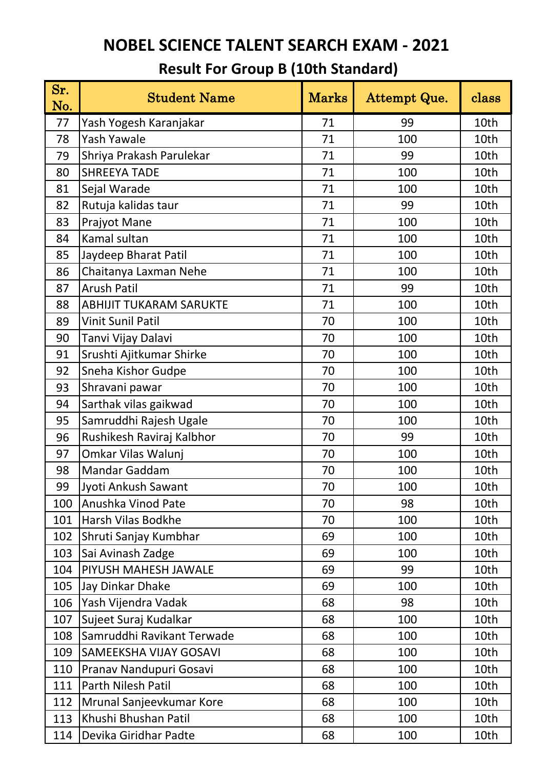| Sr.<br>No. | <b>Student Name</b>            | <b>Marks</b> | Attempt Que. | class |
|------------|--------------------------------|--------------|--------------|-------|
| 77         | Yash Yogesh Karanjakar         | 71           | 99           | 10th  |
| 78         | <b>Yash Yawale</b>             | 71           | 100          | 10th  |
| 79         | Shriya Prakash Parulekar       | 71           | 99           | 10th  |
| 80         | <b>SHREEYA TADE</b>            | 71           | 100          | 10th  |
| 81         | Sejal Warade                   | 71           | 100          | 10th  |
| 82         | Rutuja kalidas taur            | 71           | 99           | 10th  |
| 83         | Prajyot Mane                   | 71           | 100          | 10th  |
| 84         | Kamal sultan                   | 71           | 100          | 10th  |
| 85         | Jaydeep Bharat Patil           | 71           | 100          | 10th  |
| 86         | Chaitanya Laxman Nehe          | 71           | 100          | 10th  |
| 87         | <b>Arush Patil</b>             | 71           | 99           | 10th  |
| 88         | <b>ABHIJIT TUKARAM SARUKTE</b> | 71           | 100          | 10th  |
| 89         | <b>Vinit Sunil Patil</b>       | 70           | 100          | 10th  |
| 90         | Tanvi Vijay Dalavi             | 70           | 100          | 10th  |
| 91         | Srushti Ajitkumar Shirke       | 70           | 100          | 10th  |
| 92         | Sneha Kishor Gudpe             | 70           | 100          | 10th  |
| 93         | Shravani pawar                 | 70           | 100          | 10th  |
| 94         | Sarthak vilas gaikwad          | 70           | 100          | 10th  |
| 95         | Samruddhi Rajesh Ugale         | 70           | 100          | 10th  |
| 96         | Rushikesh Raviraj Kalbhor      | 70           | 99           | 10th  |
| 97         | Omkar Vilas Walunj             | 70           | 100          | 10th  |
| 98         | <b>Mandar Gaddam</b>           | 70           | 100          | 10th  |
| 99         | Jyoti Ankush Sawant            | 70           | 100          | 10th  |
| 100        | Anushka Vinod Pate             | 70           | 98           | 10th  |
| 101        | Harsh Vilas Bodkhe             | 70           | 100          | 10th  |
| 102        | Shruti Sanjay Kumbhar          | 69           | 100          | 10th  |
| 103        | Sai Avinash Zadge              | 69           | 100          | 10th  |
| 104        | PIYUSH MAHESH JAWALE           | 69           | 99           | 10th  |
| 105        | Jay Dinkar Dhake               | 69           | 100          | 10th  |
| 106        | Yash Vijendra Vadak            | 68           | 98           | 10th  |
| 107        | Sujeet Suraj Kudalkar          | 68           | 100          | 10th  |
| 108        | Samruddhi Ravikant Terwade     | 68           | 100          | 10th  |
| 109        | <b>SAMEEKSHA VIJAY GOSAVI</b>  | 68           | 100          | 10th  |
| 110        | Pranav Nandupuri Gosavi        | 68           | 100          | 10th  |
| 111        | Parth Nilesh Patil             | 68           | 100          | 10th  |
| 112        | Mrunal Sanjeevkumar Kore       | 68           | 100          | 10th  |
| 113        | Khushi Bhushan Patil           | 68           | 100          | 10th  |
| 114        | Devika Giridhar Padte          | 68           | 100          | 10th  |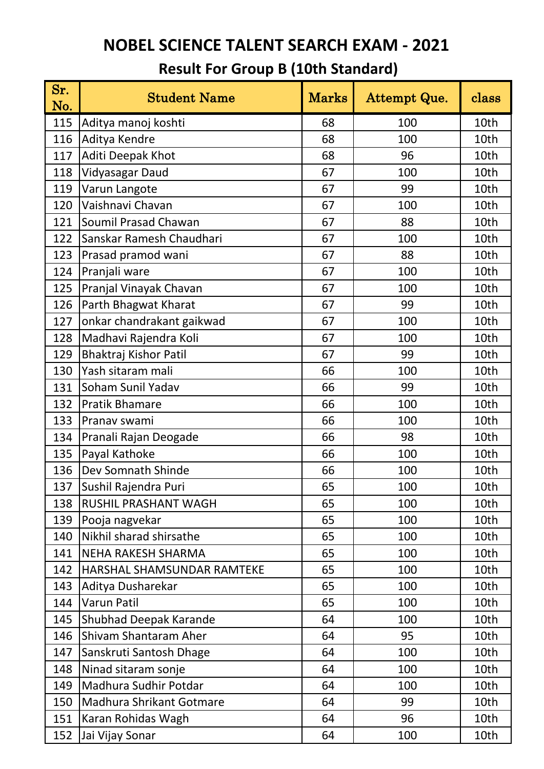| Sr.<br>No. | <b>Student Name</b>          | ${\rm Marks}$ | Attempt Que. | class |
|------------|------------------------------|---------------|--------------|-------|
| 115        | Aditya manoj koshti          | 68            | 100          | 10th  |
| 116        | Aditya Kendre                | 68            | 100          | 10th  |
| 117        | Aditi Deepak Khot            | 68            | 96           | 10th  |
| 118        | Vidyasagar Daud              | 67            | 100          | 10th  |
| 119        | Varun Langote                | 67            | 99           | 10th  |
| 120        | Vaishnavi Chavan             | 67            | 100          | 10th  |
| 121        | Soumil Prasad Chawan         | 67            | 88           | 10th  |
| 122        | Sanskar Ramesh Chaudhari     | 67            | 100          | 10th  |
| 123        | Prasad pramod wani           | 67            | 88           | 10th  |
| 124        | Pranjali ware                | 67            | 100          | 10th  |
| 125        | Pranjal Vinayak Chavan       | 67            | 100          | 10th  |
| 126        | Parth Bhagwat Kharat         | 67            | 99           | 10th  |
| 127        | onkar chandrakant gaikwad    | 67            | 100          | 10th  |
| 128        | Madhavi Rajendra Koli        | 67            | 100          | 10th  |
| 129        | Bhaktraj Kishor Patil        | 67            | 99           | 10th  |
| 130        | Yash sitaram mali            | 66            | 100          | 10th  |
| 131        | Soham Sunil Yadav            | 66            | 99           | 10th  |
| 132        | <b>Pratik Bhamare</b>        | 66            | 100          | 10th  |
| 133        | Pranav swami                 | 66            | 100          | 10th  |
| 134        | Pranali Rajan Deogade        | 66            | 98           | 10th  |
| 135        | Payal Kathoke                | 66            | 100          | 10th  |
| 136        | Dev Somnath Shinde           | 66            | 100          | 10th  |
| 137        | Sushil Rajendra Puri         | 65            | 100          | 10th  |
| 138        | <b>RUSHIL PRASHANT WAGH</b>  | 65            | 100          | 10th  |
| 139        | Pooja nagvekar               | 65            | 100          | 10th  |
| 140        | Nikhil sharad shirsathe      | 65            | 100          | 10th  |
| 141        | <b>NEHA RAKESH SHARMA</b>    | 65            | 100          | 10th  |
| 142        | HARSHAL SHAMSUNDAR RAMTEKE   | 65            | 100          | 10th  |
| 143        | Aditya Dusharekar            | 65            | 100          | 10th  |
| 144        | Varun Patil                  | 65            | 100          | 10th  |
| 145        | Shubhad Deepak Karande       | 64            | 100          | 10th  |
| 146        | <b>Shivam Shantaram Aher</b> | 64            | 95           | 10th  |
| 147        | Sanskruti Santosh Dhage      | 64            | 100          | 10th  |
| 148        | Ninad sitaram sonje          | 64            | 100          | 10th  |
| 149        | Madhura Sudhir Potdar        | 64            | 100          | 10th  |
| 150        | Madhura Shrikant Gotmare     | 64            | 99           | 10th  |
| 151        | Karan Rohidas Wagh           | 64            | 96           | 10th  |
| 152        | Jai Vijay Sonar              | 64            | 100          | 10th  |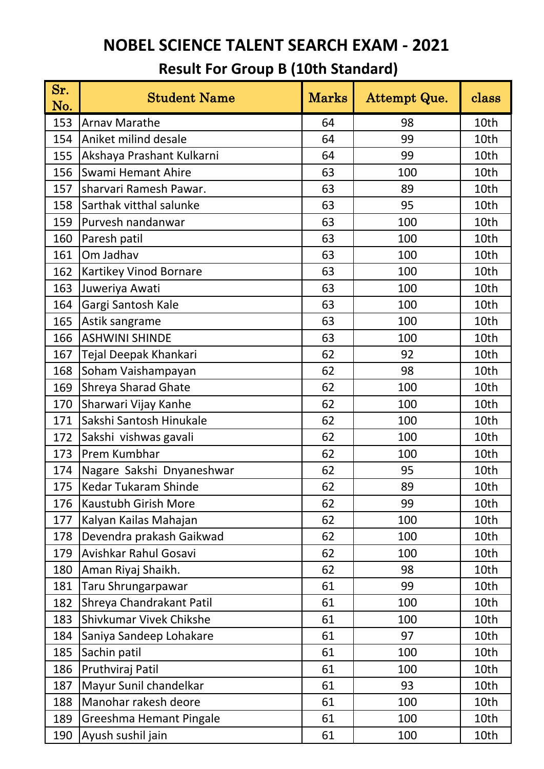| Sr.<br>No. | <b>Student Name</b>        | <b>Marks</b> | Attempt Que. | class |
|------------|----------------------------|--------------|--------------|-------|
| 153        | <b>Arnav Marathe</b>       | 64           | 98           | 10th  |
| 154        | Aniket milind desale       | 64           | 99           | 10th  |
| 155        | Akshaya Prashant Kulkarni  | 64           | 99           | 10th  |
| 156        | <b>Swami Hemant Ahire</b>  | 63           | 100          | 10th  |
| 157        | sharvari Ramesh Pawar.     | 63           | 89           | 10th  |
| 158        | Sarthak vitthal salunke    | 63           | 95           | 10th  |
| 159        | Purvesh nandanwar          | 63           | 100          | 10th  |
| 160        | Paresh patil               | 63           | 100          | 10th  |
| 161        | Om Jadhav                  | 63           | 100          | 10th  |
| 162        | Kartikey Vinod Bornare     | 63           | 100          | 10th  |
| 163        | Juweriya Awati             | 63           | 100          | 10th  |
| 164        | Gargi Santosh Kale         | 63           | 100          | 10th  |
| 165        | Astik sangrame             | 63           | 100          | 10th  |
| 166        | <b>ASHWINI SHINDE</b>      | 63           | 100          | 10th  |
| 167        | Tejal Deepak Khankari      | 62           | 92           | 10th  |
| 168        | Soham Vaishampayan         | 62           | 98           | 10th  |
| 169        | <b>Shreya Sharad Ghate</b> | 62           | 100          | 10th  |
| 170        | Sharwari Vijay Kanhe       | 62           | 100          | 10th  |
| 171        | Sakshi Santosh Hinukale    | 62           | 100          | 10th  |
| 172        | Sakshi vishwas gavali      | 62           | 100          | 10th  |
| 173        | Prem Kumbhar               | 62           | 100          | 10th  |
| 174        | Nagare Sakshi Dnyaneshwar  | 62           | 95           | 10th  |
| 175        | Kedar Tukaram Shinde       | 62           | 89           | 10th  |
| 176        | Kaustubh Girish More       | 62           | 99           | 10th  |
| 177        | Kalyan Kailas Mahajan      | 62           | 100          | 10th  |
| 178        | Devendra prakash Gaikwad   | 62           | 100          | 10th  |
| 179        | Avishkar Rahul Gosavi      | 62           | 100          | 10th  |
| 180        | Aman Riyaj Shaikh.         | 62           | 98           | 10th  |
| 181        | Taru Shrungarpawar         | 61           | 99           | 10th  |
| 182        | Shreya Chandrakant Patil   | 61           | 100          | 10th  |
| 183        | Shivkumar Vivek Chikshe    | 61           | 100          | 10th  |
| 184        | Saniya Sandeep Lohakare    | 61           | 97           | 10th  |
| 185        | Sachin patil               | 61           | 100          | 10th  |
| 186        | Pruthviraj Patil           | 61           | 100          | 10th  |
| 187        | Mayur Sunil chandelkar     | 61           | 93           | 10th  |
| 188        | Manohar rakesh deore       | 61           | 100          | 10th  |
| 189        | Greeshma Hemant Pingale    | 61           | 100          | 10th  |
| 190        | Ayush sushil jain          | 61           | 100          | 10th  |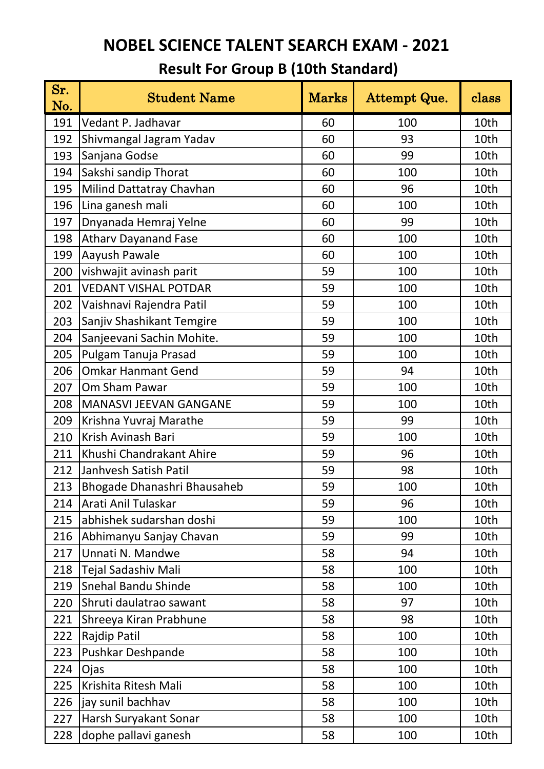| Sr.<br>No. | <b>Student Name</b>         | <b>Marks</b> | Attempt Que. | class |
|------------|-----------------------------|--------------|--------------|-------|
| 191        | Vedant P. Jadhavar          | 60           | 100          | 10th  |
| 192        | Shivmangal Jagram Yadav     | 60           | 93           | 10th  |
| 193        | Sanjana Godse               | 60           | 99           | 10th  |
| 194        | Sakshi sandip Thorat        | 60           | 100          | 10th  |
| 195        | Milind Dattatray Chavhan    | 60           | 96           | 10th  |
| 196        | Lina ganesh mali            | 60           | 100          | 10th  |
| 197        | Dnyanada Hemraj Yelne       | 60           | 99           | 10th  |
| 198        | <b>Atharv Dayanand Fase</b> | 60           | 100          | 10th  |
| 199        | Aayush Pawale               | 60           | 100          | 10th  |
| 200        | vishwajit avinash parit     | 59           | 100          | 10th  |
| 201        | <b>VEDANT VISHAL POTDAR</b> | 59           | 100          | 10th  |
| 202        | Vaishnavi Rajendra Patil    | 59           | 100          | 10th  |
| 203        | Sanjiv Shashikant Temgire   | 59           | 100          | 10th  |
| 204        | Sanjeevani Sachin Mohite.   | 59           | 100          | 10th  |
| 205        | Pulgam Tanuja Prasad        | 59           | 100          | 10th  |
| 206        | <b>Omkar Hanmant Gend</b>   | 59           | 94           | 10th  |
| 207        | Om Sham Pawar               | 59           | 100          | 10th  |
| 208        | MANASVI JEEVAN GANGANE      | 59           | 100          | 10th  |
| 209        | Krishna Yuvraj Marathe      | 59           | 99           | 10th  |
| 210        | Krish Avinash Bari          | 59           | 100          | 10th  |
| 211        | Khushi Chandrakant Ahire    | 59           | 96           | 10th  |
| 212        | Janhvesh Satish Patil       | 59           | 98           | 10th  |
| 213        | Bhogade Dhanashri Bhausaheb | 59           | 100          | 10th  |
| 214        | Arati Anil Tulaskar         | 59           | 96           | 10th  |
| 215        | abhishek sudarshan doshi    | 59           | 100          | 10th  |
| 216        | Abhimanyu Sanjay Chavan     | 59           | 99           | 10th  |
| 217        | Unnati N. Mandwe            | 58           | 94           | 10th  |
| 218        | Tejal Sadashiv Mali         | 58           | 100          | 10th  |
| 219        | <b>Snehal Bandu Shinde</b>  | 58           | 100          | 10th  |
| 220        | Shruti daulatrao sawant     | 58           | 97           | 10th  |
| 221        | Shreeya Kiran Prabhune      | 58           | 98           | 10th  |
| 222        | Rajdip Patil                | 58           | 100          | 10th  |
| 223        | Pushkar Deshpande           | 58           | 100          | 10th  |
| 224        | Ojas                        | 58           | 100          | 10th  |
| 225        | Krishita Ritesh Mali        | 58           | 100          | 10th  |
| 226        | jay sunil bachhav           | 58           | 100          | 10th  |
| 227        | Harsh Suryakant Sonar       | 58           | 100          | 10th  |
| 228        | dophe pallavi ganesh        | 58           | 100          | 10th  |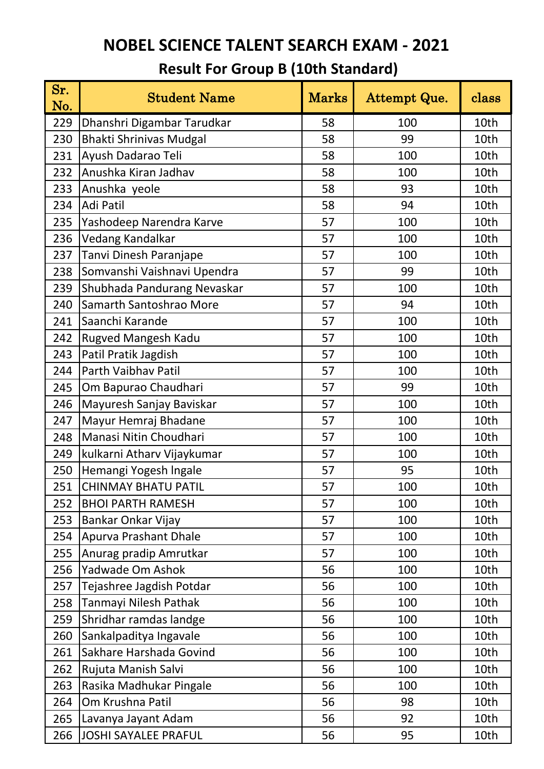| Sr.<br>No. | <b>Student Name</b>            | <b>Marks</b> | Attempt Que. | class |
|------------|--------------------------------|--------------|--------------|-------|
| 229        | Dhanshri Digambar Tarudkar     | 58           | 100          | 10th  |
| 230        | <b>Bhakti Shrinivas Mudgal</b> | 58           | 99           | 10th  |
| 231        | Ayush Dadarao Teli             | 58           | 100          | 10th  |
| 232        | Anushka Kiran Jadhav           | 58           | 100          | 10th  |
| 233        | Anushka yeole                  | 58           | 93           | 10th  |
| 234        | Adi Patil                      | 58           | 94           | 10th  |
| 235        | Yashodeep Narendra Karve       | 57           | 100          | 10th  |
| 236        | Vedang Kandalkar               | 57           | 100          | 10th  |
| 237        | Tanvi Dinesh Paranjape         | 57           | 100          | 10th  |
| 238        | Somvanshi Vaishnavi Upendra    | 57           | 99           | 10th  |
| 239        | Shubhada Pandurang Nevaskar    | 57           | 100          | 10th  |
| 240        | Samarth Santoshrao More        | 57           | 94           | 10th  |
| 241        | Saanchi Karande                | 57           | 100          | 10th  |
| 242        | Rugved Mangesh Kadu            | 57           | 100          | 10th  |
| 243        | Patil Pratik Jagdish           | 57           | 100          | 10th  |
| 244        | Parth Vaibhav Patil            | 57           | 100          | 10th  |
| 245        | Om Bapurao Chaudhari           | 57           | 99           | 10th  |
| 246        | Mayuresh Sanjay Baviskar       | 57           | 100          | 10th  |
| 247        | Mayur Hemraj Bhadane           | 57           | 100          | 10th  |
| 248        | Manasi Nitin Choudhari         | 57           | 100          | 10th  |
| 249        | kulkarni Atharv Vijaykumar     | 57           | 100          | 10th  |
| 250        | Hemangi Yogesh Ingale          | 57           | 95           | 10th  |
| 251        | <b>CHINMAY BHATU PATIL</b>     | 57           | 100          | 10th  |
| 252        | <b>BHOI PARTH RAMESH</b>       | 57           | 100          | 10th  |
| 253        | Bankar Onkar Vijay             | 57           | 100          | 10th  |
| 254        | Apurva Prashant Dhale          | 57           | 100          | 10th  |
| 255        | Anurag pradip Amrutkar         | 57           | 100          | 10th  |
| 256        | Yadwade Om Ashok               | 56           | 100          | 10th  |
| 257        | Tejashree Jagdish Potdar       | 56           | 100          | 10th  |
| 258        | Tanmayi Nilesh Pathak          | 56           | 100          | 10th  |
| 259        | Shridhar ramdas landge         | 56           | 100          | 10th  |
| 260        | Sankalpaditya Ingavale         | 56           | 100          | 10th  |
| 261        | Sakhare Harshada Govind        | 56           | 100          | 10th  |
| 262        | Rujuta Manish Salvi            | 56           | 100          | 10th  |
| 263        | Rasika Madhukar Pingale        | 56           | 100          | 10th  |
| 264        | Om Krushna Patil               | 56           | 98           | 10th  |
| 265        | Lavanya Jayant Adam            | 56           | 92           | 10th  |
| 266        | JOSHI SAYALEE PRAFUL           | 56           | 95           | 10th  |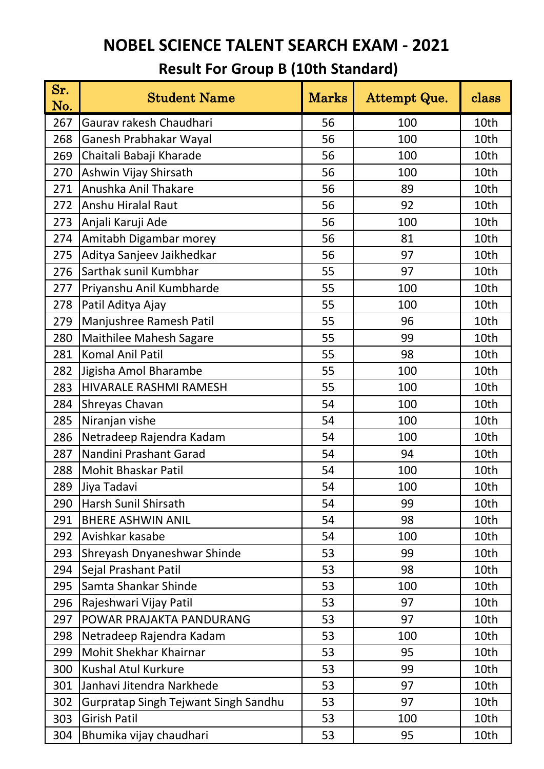| Sr.<br>No. | <b>Student Name</b>                         | <b>Marks</b> | Attempt Que. | class |
|------------|---------------------------------------------|--------------|--------------|-------|
| 267        | Gaurav rakesh Chaudhari                     | 56           | 100          | 10th  |
| 268        | Ganesh Prabhakar Wayal                      | 56           | 100          | 10th  |
| 269        | Chaitali Babaji Kharade                     | 56           | 100          | 10th  |
| 270        | Ashwin Vijay Shirsath                       | 56           | 100          | 10th  |
| 271        | Anushka Anil Thakare                        | 56           | 89           | 10th  |
| 272        | Anshu Hiralal Raut                          | 56           | 92           | 10th  |
| 273        | Anjali Karuji Ade                           | 56           | 100          | 10th  |
| 274        | Amitabh Digambar morey                      | 56           | 81           | 10th  |
| 275        | Aditya Sanjeev Jaikhedkar                   | 56           | 97           | 10th  |
| 276        | Sarthak sunil Kumbhar                       | 55           | 97           | 10th  |
| 277        | Priyanshu Anil Kumbharde                    | 55           | 100          | 10th  |
| 278        | Patil Aditya Ajay                           | 55           | 100          | 10th  |
| 279        | Manjushree Ramesh Patil                     | 55           | 96           | 10th  |
| 280        | <b>Maithilee Mahesh Sagare</b>              | 55           | 99           | 10th  |
| 281        | <b>Komal Anil Patil</b>                     | 55           | 98           | 10th  |
| 282        | Jigisha Amol Bharambe                       | 55           | 100          | 10th  |
| 283        | HIVARALE RASHMI RAMESH                      | 55           | 100          | 10th  |
| 284        | Shreyas Chavan                              | 54           | 100          | 10th  |
| 285        | Niranjan vishe                              | 54           | 100          | 10th  |
| 286        | Netradeep Rajendra Kadam                    | 54           | 100          | 10th  |
| 287        | Nandini Prashant Garad                      | 54           | 94           | 10th  |
| 288        | <b>Mohit Bhaskar Patil</b>                  | 54           | 100          | 10th  |
| 289        | Jiya Tadavi                                 | 54           | 100          | 10th  |
| 290        | Harsh Sunil Shirsath                        | 54           | 99           | 10th  |
| 291        | <b>BHERE ASHWIN ANIL</b>                    | 54           | 98           | 10th  |
| 292        | Avishkar kasabe                             | 54           | 100          | 10th  |
| 293        | Shreyash Dnyaneshwar Shinde                 | 53           | 99           | 10th  |
| 294        | Sejal Prashant Patil                        | 53           | 98           | 10th  |
| 295        | Samta Shankar Shinde                        | 53           | 100          | 10th  |
| 296        | Rajeshwari Vijay Patil                      | 53           | 97           | 10th  |
| 297        | POWAR PRAJAKTA PANDURANG                    | 53           | 97           | 10th  |
| 298        | Netradeep Rajendra Kadam                    | 53           | 100          | 10th  |
| 299        | Mohit Shekhar Khairnar                      | 53           | 95           | 10th  |
| 300        | Kushal Atul Kurkure                         | 53           | 99           | 10th  |
| 301        | Janhavi Jitendra Narkhede                   | 53           | 97           | 10th  |
| 302        | <b>Gurpratap Singh Tejwant Singh Sandhu</b> | 53           | 97           | 10th  |
| 303        | <b>Girish Patil</b>                         | 53           | 100          | 10th  |
| 304        | Bhumika vijay chaudhari                     | 53           | 95           | 10th  |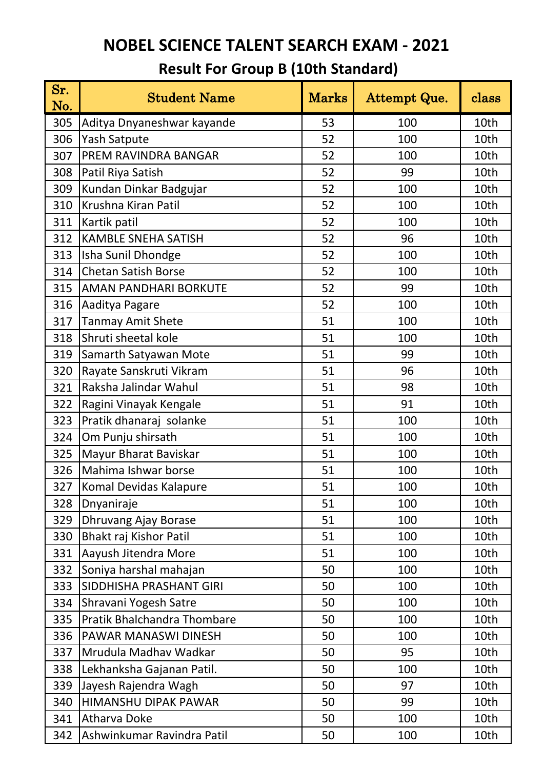| Sr. | <b>Student Name</b>         | ${\rm Marks}$ | Attempt Que. | class |
|-----|-----------------------------|---------------|--------------|-------|
| No. |                             |               |              |       |
| 305 | Aditya Dnyaneshwar kayande  | 53            | 100          | 10th  |
| 306 | <b>Yash Satpute</b>         | 52            | 100          | 10th  |
| 307 | PREM RAVINDRA BANGAR        | 52            | 100          | 10th  |
| 308 | Patil Riya Satish           | 52            | 99           | 10th  |
| 309 | Kundan Dinkar Badgujar      | 52            | 100          | 10th  |
| 310 | Krushna Kiran Patil         | 52            | 100          | 10th  |
| 311 | Kartik patil                | 52            | 100          | 10th  |
| 312 | <b>KAMBLE SNEHA SATISH</b>  | 52            | 96           | 10th  |
| 313 | Isha Sunil Dhondge          | 52            | 100          | 10th  |
| 314 | <b>Chetan Satish Borse</b>  | 52            | 100          | 10th  |
| 315 | AMAN PANDHARI BORKUTE       | 52            | 99           | 10th  |
| 316 | Aaditya Pagare              | 52            | 100          | 10th  |
| 317 | <b>Tanmay Amit Shete</b>    | 51            | 100          | 10th  |
| 318 | Shruti sheetal kole         | 51            | 100          | 10th  |
| 319 | Samarth Satyawan Mote       | 51            | 99           | 10th  |
| 320 | Rayate Sanskruti Vikram     | 51            | 96           | 10th  |
| 321 | Raksha Jalindar Wahul       | 51            | 98           | 10th  |
| 322 | Ragini Vinayak Kengale      | 51            | 91           | 10th  |
| 323 | Pratik dhanaraj solanke     | 51            | 100          | 10th  |
| 324 | Om Punju shirsath           | 51            | 100          | 10th  |
| 325 | Mayur Bharat Baviskar       | 51            | 100          | 10th  |
| 326 | Mahima Ishwar borse         | 51            | 100          | 10th  |
| 327 | Komal Devidas Kalapure      | 51            | 100          | 10th  |
| 328 | Dnyaniraje                  | 51            | 100          | 10th  |
| 329 | Dhruvang Ajay Borase        | 51            | 100          | 10th  |
| 330 | Bhakt raj Kishor Patil      | 51            | 100          | 10th  |
| 331 | Aayush Jitendra More        | 51            | 100          | 10th  |
| 332 | Soniya harshal mahajan      | 50            | 100          | 10th  |
| 333 | SIDDHISHA PRASHANT GIRI     | 50            | 100          | 10th  |
| 334 | Shravani Yogesh Satre       | 50            | 100          | 10th  |
| 335 | Pratik Bhalchandra Thombare | 50            | 100          | 10th  |
| 336 | PAWAR MANASWI DINESH        | 50            | 100          | 10th  |
| 337 | Mrudula Madhav Wadkar       | 50            | 95           | 10th  |
| 338 | Lekhanksha Gajanan Patil.   | 50            | 100          | 10th  |
| 339 | Jayesh Rajendra Wagh        | 50            | 97           | 10th  |
| 340 | <b>HIMANSHU DIPAK PAWAR</b> | 50            | 99           | 10th  |
| 341 | Atharva Doke                | 50            | 100          | 10th  |
| 342 | Ashwinkumar Ravindra Patil  | 50            | 100          | 10th  |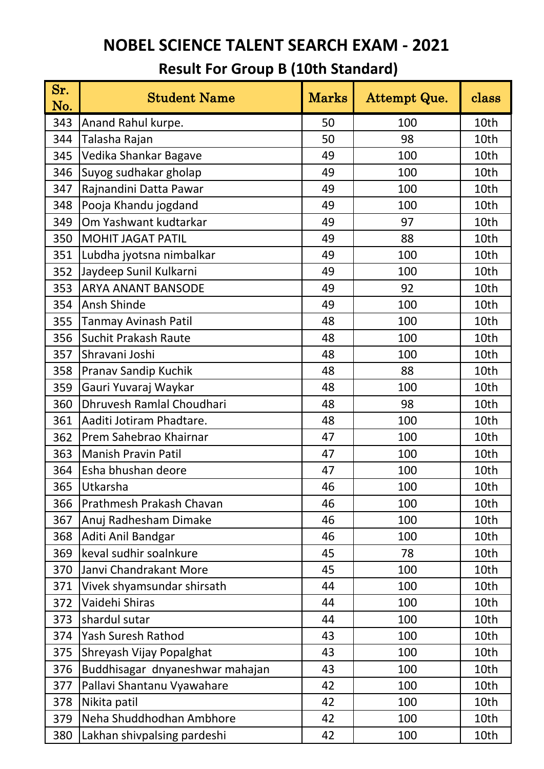| Sr.<br>No. | <b>Student Name</b>             | ${\rm Marks}$ | Attempt Que. | class |
|------------|---------------------------------|---------------|--------------|-------|
| 343        | Anand Rahul kurpe.              | 50            | 100          | 10th  |
| 344        | Talasha Rajan                   | 50            | 98           | 10th  |
| 345        | Vedika Shankar Bagave           | 49            | 100          | 10th  |
| 346        | Suyog sudhakar gholap           | 49            | 100          | 10th  |
| 347        | Rajnandini Datta Pawar          | 49            | 100          | 10th  |
| 348        | Pooja Khandu jogdand            | 49            | 100          | 10th  |
| 349        | Om Yashwant kudtarkar           | 49            | 97           | 10th  |
| 350        | <b>MOHIT JAGAT PATIL</b>        | 49            | 88           | 10th  |
| 351        | Lubdha jyotsna nimbalkar        | 49            | 100          | 10th  |
| 352        | Jaydeep Sunil Kulkarni          | 49            | 100          | 10th  |
| 353        | <b>ARYA ANANT BANSODE</b>       | 49            | 92           | 10th  |
| 354        | Ansh Shinde                     | 49            | 100          | 10th  |
| 355        | <b>Tanmay Avinash Patil</b>     | 48            | 100          | 10th  |
| 356        | <b>Suchit Prakash Raute</b>     | 48            | 100          | 10th  |
| 357        | Shravani Joshi                  | 48            | 100          | 10th  |
| 358        | Pranav Sandip Kuchik            | 48            | 88           | 10th  |
| 359        | Gauri Yuvaraj Waykar            | 48            | 100          | 10th  |
| 360        | Dhruvesh Ramlal Choudhari       | 48            | 98           | 10th  |
| 361        | Aaditi Jotiram Phadtare.        | 48            | 100          | 10th  |
| 362        | Prem Sahebrao Khairnar          | 47            | 100          | 10th  |
| 363        | <b>Manish Pravin Patil</b>      | 47            | 100          | 10th  |
| 364        | Esha bhushan deore              | 47            | 100          | 10th  |
| 365        | Utkarsha                        | 46            | 100          | 10th  |
| 366        | Prathmesh Prakash Chavan        | 46            | 100          | 10th  |
| 367        | Anuj Radhesham Dimake           | 46            | 100          | 10th  |
| 368        | Aditi Anil Bandgar              | 46            | 100          | 10th  |
| 369        | keval sudhir soalnkure          | 45            | 78           | 10th  |
| 370        | Janvi Chandrakant More          | 45            | 100          | 10th  |
| 371        | Vivek shyamsundar shirsath      | 44            | 100          | 10th  |
| 372        | Vaidehi Shiras                  | 44            | 100          | 10th  |
| 373        | shardul sutar                   | 44            | 100          | 10th  |
| 374        | <b>Yash Suresh Rathod</b>       | 43            | 100          | 10th  |
| 375        | Shreyash Vijay Popalghat        | 43            | 100          | 10th  |
| 376        | Buddhisagar dnyaneshwar mahajan | 43            | 100          | 10th  |
| 377        | Pallavi Shantanu Vyawahare      | 42            | 100          | 10th  |
| 378        | Nikita patil                    | 42            | 100          | 10th  |
| 379        | Neha Shuddhodhan Ambhore        | 42            | 100          | 10th  |
| 380        | Lakhan shivpalsing pardeshi     | 42            | 100          | 10th  |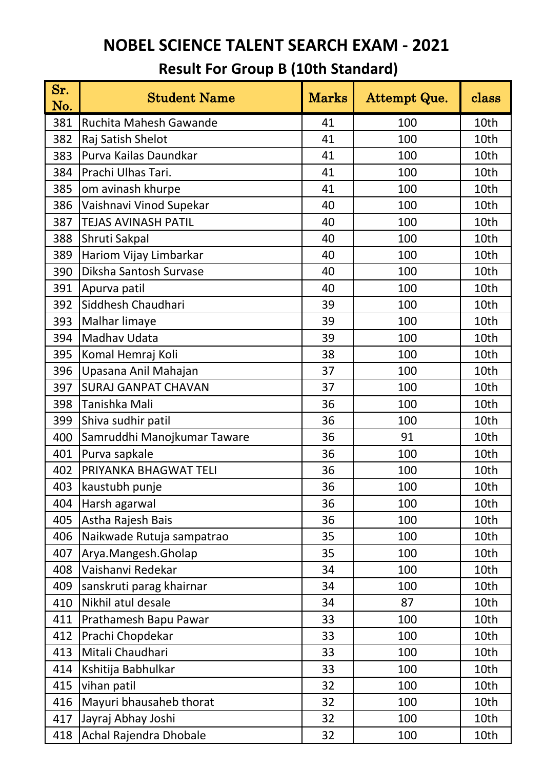| Sr.<br>No. | <b>Student Name</b>         | <b>Marks</b> | Attempt Que. | class |
|------------|-----------------------------|--------------|--------------|-------|
| 381        | Ruchita Mahesh Gawande      | 41           | 100          | 10th  |
| 382        | Raj Satish Shelot           | 41           | 100          | 10th  |
| 383        | Purva Kailas Daundkar       | 41           | 100          | 10th  |
| 384        | Prachi Ulhas Tari.          | 41           | 100          | 10th  |
| 385        | om avinash khurpe           | 41           | 100          | 10th  |
| 386        | Vaishnavi Vinod Supekar     | 40           | 100          | 10th  |
| 387        | <b>TEJAS AVINASH PATIL</b>  | 40           | 100          | 10th  |
| 388        | Shruti Sakpal               | 40           | 100          | 10th  |
| 389        | Hariom Vijay Limbarkar      | 40           | 100          | 10th  |
| 390        | Diksha Santosh Survase      | 40           | 100          | 10th  |
| 391        | Apurva patil                | 40           | 100          | 10th  |
| 392        | Siddhesh Chaudhari          | 39           | 100          | 10th  |
| 393        | Malhar limaye               | 39           | 100          | 10th  |
| 394        | <b>Madhav Udata</b>         | 39           | 100          | 10th  |
| 395        | Komal Hemraj Koli           | 38           | 100          | 10th  |
| 396        | Upasana Anil Mahajan        | 37           | 100          | 10th  |
| 397        | <b>SURAJ GANPAT CHAVAN</b>  | 37           | 100          | 10th  |
| 398        | Tanishka Mali               | 36           | 100          | 10th  |
| 399        | Shiva sudhir patil          | 36           | 100          | 10th  |
| 400        | Samruddhi Manojkumar Taware | 36           | 91           | 10th  |
| 401        | Purva sapkale               | 36           | 100          | 10th  |
| 402        | PRIYANKA BHAGWAT TELI       | 36           | 100          | 10th  |
| 403        | kaustubh punje              | 36           | 100          | 10th  |
| 404        | Harsh agarwal               | 36           | 100          | 10th  |
| 405        | Astha Rajesh Bais           | 36           | 100          | 10th  |
| 406        | Naikwade Rutuja sampatrao   | 35           | 100          | 10th  |
| 407        | Arya.Mangesh.Gholap         | 35           | 100          | 10th  |
| 408        | Vaishanvi Redekar           | 34           | 100          | 10th  |
| 409        | sanskruti parag khairnar    | 34           | 100          | 10th  |
| 410        | Nikhil atul desale          | 34           | 87           | 10th  |
| 411        | Prathamesh Bapu Pawar       | 33           | 100          | 10th  |
| 412        | Prachi Chopdekar            | 33           | 100          | 10th  |
| 413        | Mitali Chaudhari            | 33           | 100          | 10th  |
| 414        | Kshitija Babhulkar          | 33           | 100          | 10th  |
| 415        | vihan patil                 | 32           | 100          | 10th  |
| 416        | Mayuri bhausaheb thorat     | 32           | 100          | 10th  |
| 417        | Jayraj Abhay Joshi          | 32           | 100          | 10th  |
| 418        | Achal Rajendra Dhobale      | 32           | 100          | 10th  |